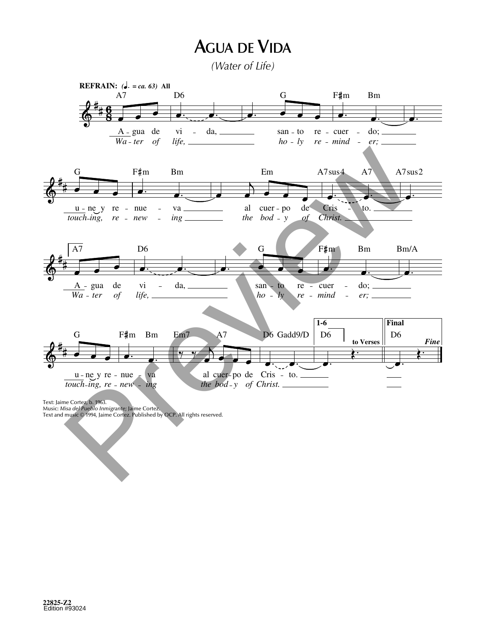## **AGUA DE VIDA**

*(Water of Life)*



Music: *Misa del Pueblo Inmigrante;* Jaime Cortez.<br>Text and music © 1994, Jaime Cortez. Published by OCP. All rights reserved.

C

gan,

re ben pro